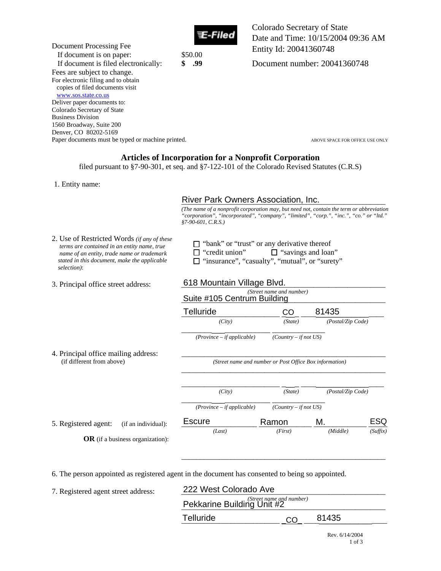

Colorado Secretary of State Date and Time: 10/15/2004 09:36 AM Entity Id: 20041360748

Document number: 20041360748

Document Processing Fee If document is on paper: \$50.00 If document is filed electronically: **\$ .99**  Fees are subject to change. For electronic filing and to obtain copies of filed documents visit www.sos.state.co.us Deliver paper documents to: Colorado Secretary of State Business Division 1560 Broadway, Suite 200 Denver, CO 80202-5169 Paper documents must be typed or machine printed. ABOVE SPACE FOR OFFICE USE ONLY

### **Articles of Incorporation for a Nonprofit Corporation**

filed pursuant to §7-90-301, et seq. and §7-122-101 of the Colorado Revised Statutes (C.R.S)

1. Entity name:

## River Park Owners Association, Inc.

| 2. Use of Restricted Words (if any of these<br>terms are contained in an entity name, true<br>name of an entity, trade name or trademark<br>stated in this document, make the applicable<br>selection): | $\Box$ "bank" or "trust" or any derivative thereof<br>$\Box$ "savings and loar"<br>$\Box$ "credit union"<br>□ "insurance", "casualty", "mutual", or "sure |
|---------------------------------------------------------------------------------------------------------------------------------------------------------------------------------------------------------|-----------------------------------------------------------------------------------------------------------------------------------------------------------|
|---------------------------------------------------------------------------------------------------------------------------------------------------------------------------------------------------------|-----------------------------------------------------------------------------------------------------------------------------------------------------------|

| $\Box$ "credit union"                                 |  | $\Box$ "savings and loan" |
|-------------------------------------------------------|--|---------------------------|
| $\Box$ "incurrence" "coordity" "mutual" or "currenty" |  |                           |

|                                                                                                                                                                                                         |                              | River Park Owners Association, Inc.                                                                                                                                               |                   |          |  |  |  |  |  |
|---------------------------------------------------------------------------------------------------------------------------------------------------------------------------------------------------------|------------------------------|-----------------------------------------------------------------------------------------------------------------------------------------------------------------------------------|-------------------|----------|--|--|--|--|--|
|                                                                                                                                                                                                         | $$7-90-601, C.R.S.)$         | (The name of a nonprofit corporation may, but need not, contain the term or abbreviation<br>"corporation", "incorporated", "company", "limited", "corp.", "inc.", "co." or "ltd." |                   |          |  |  |  |  |  |
| 2. Use of Restricted Words (if any of these<br>terms are contained in an entity name, true<br>name of an entity, trade name or trademark<br>stated in this document, make the applicable<br>selection): | "credit union"               | $\Box$ "bank" or "trust" or any derivative thereof<br>$\Box$ "savings and loan"<br>"insurance", "casualty", "mutual", or "surety"                                                 |                   |          |  |  |  |  |  |
| 3. Principal office street address:                                                                                                                                                                     | 618 Mountain Village Blvd.   |                                                                                                                                                                                   |                   |          |  |  |  |  |  |
|                                                                                                                                                                                                         | Suite #105 Centrum Building  | (Street name and number)                                                                                                                                                          |                   |          |  |  |  |  |  |
|                                                                                                                                                                                                         | <b>Telluride</b>             | CO                                                                                                                                                                                | 81435             |          |  |  |  |  |  |
|                                                                                                                                                                                                         | (City)                       | (State)                                                                                                                                                                           | (Postal/Zip Code) |          |  |  |  |  |  |
|                                                                                                                                                                                                         | $(Province - if applicable)$ | $(Country - if not US)$                                                                                                                                                           |                   |          |  |  |  |  |  |
| 4. Principal office mailing address:<br>(if different from above)                                                                                                                                       |                              | (Street name and number or Post Office Box information)                                                                                                                           |                   |          |  |  |  |  |  |
|                                                                                                                                                                                                         | (City)                       | (State)                                                                                                                                                                           | (Postal/Zip Code) |          |  |  |  |  |  |
|                                                                                                                                                                                                         | $(Province - if applicable)$ | $(Country - if not US)$                                                                                                                                                           |                   |          |  |  |  |  |  |
| 5. Registered agent:<br>(if an individual):                                                                                                                                                             | <b>Escure</b>                | Ramon                                                                                                                                                                             | М.                | ESQ      |  |  |  |  |  |
| <b>OR</b> (if a business organization):                                                                                                                                                                 | (Last)                       | (First)                                                                                                                                                                           | (Middle)          | (Suffix) |  |  |  |  |  |
| 6. The person appointed as registered agent in the document has consented to being so appointed.                                                                                                        |                              |                                                                                                                                                                                   |                   |          |  |  |  |  |  |
|                                                                                                                                                                                                         |                              |                                                                                                                                                                                   |                   |          |  |  |  |  |  |
| 7. Registered agent street address:                                                                                                                                                                     |                              | 222 West Colorado Ave<br>(Street name and number)<br>Pekkarine Building Unit #2                                                                                                   |                   |          |  |  |  |  |  |
|                                                                                                                                                                                                         |                              |                                                                                                                                                                                   |                   |          |  |  |  |  |  |
|                                                                                                                                                                                                         | Telluride                    | CO                                                                                                                                                                                | 81435             |          |  |  |  |  |  |

| 222 West Colorado Ave                                  |    |       |
|--------------------------------------------------------|----|-------|
| (Street name and number)<br>Pekkarine Building Unit #2 |    |       |
| Telluride                                              | ററ | 81435 |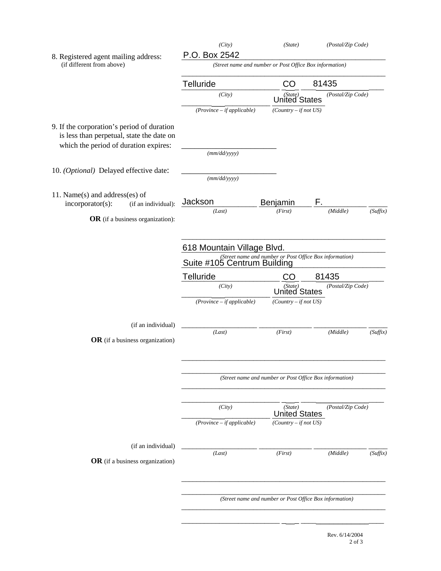|                                                                                                                                  | (City)<br>P.O. Box 2542                                                                                              | (State)                                                 | (Postal/Zip Code)    |  |  |  |  |  |
|----------------------------------------------------------------------------------------------------------------------------------|----------------------------------------------------------------------------------------------------------------------|---------------------------------------------------------|----------------------|--|--|--|--|--|
| 8. Registered agent mailing address:<br>(if different from above)                                                                | (Street name and number or Post Office Box information)                                                              |                                                         |                      |  |  |  |  |  |
|                                                                                                                                  | Telluride                                                                                                            | <b>CO</b>                                               | 81435                |  |  |  |  |  |
|                                                                                                                                  | (City)                                                                                                               | (State)<br>United States                                | (Postal/Zip Code)    |  |  |  |  |  |
|                                                                                                                                  | $(Province - if applicable)$                                                                                         | $(Country - if not US)$                                 |                      |  |  |  |  |  |
| 9. If the corporation's period of duration<br>is less than perpetual, state the date on<br>which the period of duration expires: | (mm/dd/yyyy)                                                                                                         |                                                         |                      |  |  |  |  |  |
| 10. (Optional) Delayed effective date:                                                                                           | (mm/dd/yyyy)                                                                                                         |                                                         |                      |  |  |  |  |  |
| 11. Name(s) and address(es) of<br>incorporator(s):<br>(if an individual):                                                        | Jackson                                                                                                              | Benjamin                                                | F.                   |  |  |  |  |  |
| <b>OR</b> (if a business organization):                                                                                          | (Last)                                                                                                               | (First)                                                 | (Suffix)<br>(Middle) |  |  |  |  |  |
|                                                                                                                                  | 618 Mountain Village Blvd.<br>(Street name and number or Post Office Box information)<br>Suite #105 Centrum Building |                                                         |                      |  |  |  |  |  |
|                                                                                                                                  | <b>Telluride</b>                                                                                                     |                                                         | 81435                |  |  |  |  |  |
|                                                                                                                                  | (City)                                                                                                               | CO<br>(State)<br><b>United States</b>                   | (Postal/Zip Code)    |  |  |  |  |  |
|                                                                                                                                  | $(Province - if applicable)$                                                                                         | $(Country - if not US)$                                 |                      |  |  |  |  |  |
| (if an individual)                                                                                                               |                                                                                                                      |                                                         |                      |  |  |  |  |  |
| <b>OR</b> (if a business organization)                                                                                           | (Last)                                                                                                               | (First)                                                 | (Middle)<br>(Suffix) |  |  |  |  |  |
|                                                                                                                                  |                                                                                                                      | (Street name and number or Post Office Box information) |                      |  |  |  |  |  |
|                                                                                                                                  | (City)                                                                                                               | (State)<br><b>United States</b>                         | (Postal/Zip Code)    |  |  |  |  |  |
|                                                                                                                                  | $(Province - if applicable)$                                                                                         | $(Country - if not US)$                                 |                      |  |  |  |  |  |
| (if an individual)<br><b>OR</b> (if a business organization)                                                                     | (Last)                                                                                                               | (First)                                                 | (Suffix)<br>(Middle) |  |  |  |  |  |
|                                                                                                                                  |                                                                                                                      | (Street name and number or Post Office Box information) |                      |  |  |  |  |  |
|                                                                                                                                  |                                                                                                                      |                                                         |                      |  |  |  |  |  |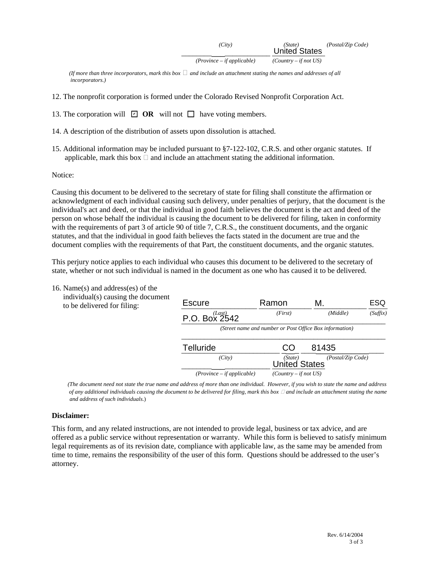|            | City            |          |            | 'State) | United States | (Postal/Zip Code) |
|------------|-----------------|----------|------------|---------|---------------|-------------------|
| $\sqrt{ }$ | $\cdot$ $\cdot$ | $\cdots$ | $\sqrt{ }$ |         | T T T T       |                   |

*(Province – if applicable) (Country – if not US)* 

*(If more than three incorporators, mark this box*  $\Box$  *and include an attachment stating the names and addresses of all incorporators.)*

- 12. The nonprofit corporation is formed under the Colorado Revised Nonprofit Corporation Act.
- 13. The corporation will  $\Box$  **OR** will not  $\Box$  have voting members.
- 14. A description of the distribution of assets upon dissolution is attached.
- 15. Additional information may be included pursuant to §7-122-102, C.R.S. and other organic statutes. If applicable, mark this box  $\Box$  and include an attachment stating the additional information.

#### Notice:

| <b>13.</b> The corporation will <b>DR</b> will not <b>H</b> have voting members.                                                                                                                                                                                                                                                                                                                                                                                                                                                                                                                                                                                                                                                                                                                                                                                                                                                                                                                                                            |                                                         |                          |                   |            |  |  |  |
|---------------------------------------------------------------------------------------------------------------------------------------------------------------------------------------------------------------------------------------------------------------------------------------------------------------------------------------------------------------------------------------------------------------------------------------------------------------------------------------------------------------------------------------------------------------------------------------------------------------------------------------------------------------------------------------------------------------------------------------------------------------------------------------------------------------------------------------------------------------------------------------------------------------------------------------------------------------------------------------------------------------------------------------------|---------------------------------------------------------|--------------------------|-------------------|------------|--|--|--|
| 14. A description of the distribution of assets upon dissolution is attached.                                                                                                                                                                                                                                                                                                                                                                                                                                                                                                                                                                                                                                                                                                                                                                                                                                                                                                                                                               |                                                         |                          |                   |            |  |  |  |
| 15. Additional information may be included pursuant to §7-122-102, C.R.S. and other organic statutes. If<br>applicable, mark this box $\Box$ and include an attachment stating the additional information.                                                                                                                                                                                                                                                                                                                                                                                                                                                                                                                                                                                                                                                                                                                                                                                                                                  |                                                         |                          |                   |            |  |  |  |
| Notice:                                                                                                                                                                                                                                                                                                                                                                                                                                                                                                                                                                                                                                                                                                                                                                                                                                                                                                                                                                                                                                     |                                                         |                          |                   |            |  |  |  |
| Causing this document to be delivered to the secretary of state for filing shall constitute the affirmation or<br>acknowledgment of each individual causing such delivery, under penalties of perjury, that the document is the<br>individual's act and deed, or that the individual in good faith believes the document is the act and deed of the<br>person on whose behalf the individual is causing the document to be delivered for filing, taken in conformity<br>with the requirements of part 3 of article 90 of title 7, C.R.S., the constituent documents, and the organic<br>statutes, and that the individual in good faith believes the facts stated in the document are true and the<br>document complies with the requirements of that Part, the constituent documents, and the organic statutes.<br>This perjury notice applies to each individual who causes this document to be delivered to the secretary of<br>state, whether or not such individual is named in the document as one who has caused it to be delivered. |                                                         |                          |                   |            |  |  |  |
| 16. Name $(s)$ and address $(es)$ of the<br>individual(s) causing the document<br>to be delivered for filing:                                                                                                                                                                                                                                                                                                                                                                                                                                                                                                                                                                                                                                                                                                                                                                                                                                                                                                                               | <b>Escure</b>                                           | Ramon                    | М.                | <b>ESQ</b> |  |  |  |
|                                                                                                                                                                                                                                                                                                                                                                                                                                                                                                                                                                                                                                                                                                                                                                                                                                                                                                                                                                                                                                             | P.O. Box 2542                                           | (First)                  | (Middle)          | (Suffix)   |  |  |  |
|                                                                                                                                                                                                                                                                                                                                                                                                                                                                                                                                                                                                                                                                                                                                                                                                                                                                                                                                                                                                                                             | (Street name and number or Post Office Box information) |                          |                   |            |  |  |  |
|                                                                                                                                                                                                                                                                                                                                                                                                                                                                                                                                                                                                                                                                                                                                                                                                                                                                                                                                                                                                                                             | <b>Telluride</b>                                        | CO                       | 81435             |            |  |  |  |
|                                                                                                                                                                                                                                                                                                                                                                                                                                                                                                                                                                                                                                                                                                                                                                                                                                                                                                                                                                                                                                             | (City)                                                  | (State)<br>United States | (Postal/Zip Code) |            |  |  |  |
|                                                                                                                                                                                                                                                                                                                                                                                                                                                                                                                                                                                                                                                                                                                                                                                                                                                                                                                                                                                                                                             | $(Province - if applicable)$                            | $(Country - if not US)$  |                   |            |  |  |  |

 *(The document need not state the true name and address of more than one individual. However, if you wish to state the name and address of any additional individuals causing the document to be delivered for filing, mark this box* ٱ *and include an attachment stating the name and address of such individuals.*)

#### **Disclaimer:**

This form, and any related instructions, are not intended to provide legal, business or tax advice, and are offered as a public service without representation or warranty. While this form is believed to satisfy minimum legal requirements as of its revision date, compliance with applicable law, as the same may be amended from time to time, remains the responsibility of the user of this form. Questions should be addressed to the user's attorney.